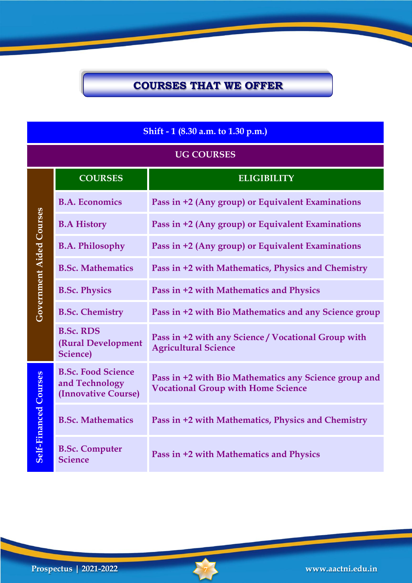#### **Shift - 1 (8.30 a.m. to 1.30 p.m.)**

#### **UG COURSES**

|                                 | <b>COURSES</b>                                                     | <b>ELIGIBILITY</b>                                                                                 |
|---------------------------------|--------------------------------------------------------------------|----------------------------------------------------------------------------------------------------|
| Government Aided Courses        | <b>B.A. Economics</b>                                              | Pass in +2 (Any group) or Equivalent Examinations                                                  |
|                                 | <b>B.A History</b>                                                 | Pass in +2 (Any group) or Equivalent Examinations                                                  |
|                                 | <b>B.A. Philosophy</b>                                             | Pass in +2 (Any group) or Equivalent Examinations                                                  |
|                                 | <b>B.Sc. Mathematics</b>                                           | Pass in +2 with Mathematics, Physics and Chemistry                                                 |
|                                 | <b>B.Sc. Physics</b>                                               | Pass in +2 with Mathematics and Physics                                                            |
|                                 | <b>B.Sc. Chemistry</b>                                             | Pass in +2 with Bio Mathematics and any Science group                                              |
|                                 | <b>B.Sc. RDS</b><br>(Rural Development<br><b>Science</b> )         | Pass in +2 with any Science / Vocational Group with<br><b>Agricultural Science</b>                 |
| Courses<br><b>Self-Financed</b> | <b>B.Sc. Food Science</b><br>and Technology<br>(Innovative Course) | Pass in +2 with Bio Mathematics any Science group and<br><b>Vocational Group with Home Science</b> |
|                                 | <b>B.Sc. Mathematics</b>                                           | Pass in +2 with Mathematics, Physics and Chemistry                                                 |
|                                 | <b>B.Sc. Computer</b><br><b>Science</b>                            | Pass in +2 with Mathematics and Physics                                                            |

**Government Aided Courses**

**Prospectus | 2021-2022 7 www.aactni.edu.in**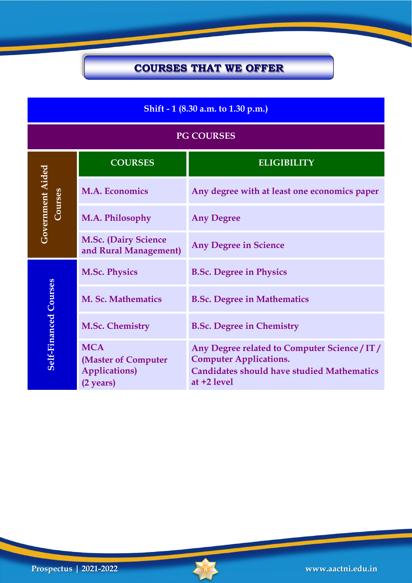### **Shift - 1 (8.30 a.m. to 1.30 p.m.)**

| <b>PG COURSES</b>            |                                                                         |                                                                                                                                                    |  |  |
|------------------------------|-------------------------------------------------------------------------|----------------------------------------------------------------------------------------------------------------------------------------------------|--|--|
|                              | <b>COURSES</b>                                                          | <b>ELIGIBILITY</b>                                                                                                                                 |  |  |
| Government Aided<br>Courses  | <b>M.A. Economics</b>                                                   | Any degree with at least one economics paper                                                                                                       |  |  |
|                              | M.A. Philosophy                                                         | <b>Any Degree</b>                                                                                                                                  |  |  |
|                              | <b>M.Sc. (Dairy Science</b><br>and Rural Management)                    | <b>Any Degree in Science</b>                                                                                                                       |  |  |
|                              | <b>M.Sc. Physics</b>                                                    | <b>B.Sc. Degree in Physics</b>                                                                                                                     |  |  |
|                              | M. Sc. Mathematics                                                      | <b>B.Sc. Degree in Mathematics</b>                                                                                                                 |  |  |
|                              | <b>M.Sc. Chemistry</b>                                                  | <b>B.Sc. Degree in Chemistry</b>                                                                                                                   |  |  |
| <b>Self-Financed Courses</b> | <b>MCA</b><br>(Master of Computer<br><b>Applications</b> )<br>(2 years) | Any Degree related to Computer Science / IT /<br><b>Computer Applications.</b><br><b>Candidates should have studied Mathematics</b><br>at +2 level |  |  |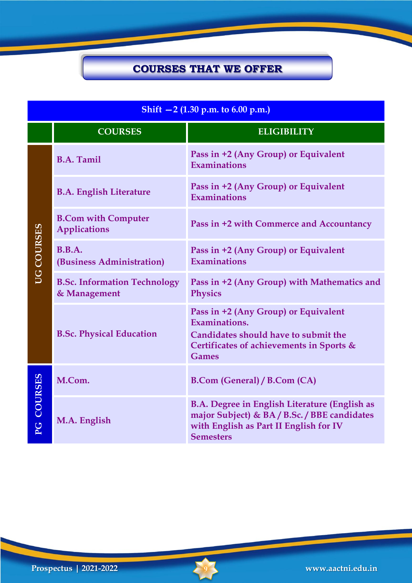| Shift $-2$ (1.30 p.m. to 6.00 p.m.) |                                                     |                                                                                                                                                                    |  |  |
|-------------------------------------|-----------------------------------------------------|--------------------------------------------------------------------------------------------------------------------------------------------------------------------|--|--|
|                                     | <b>COURSES</b>                                      | <b>ELIGIBILITY</b>                                                                                                                                                 |  |  |
|                                     | <b>B.A. Tamil</b>                                   | Pass in +2 (Any Group) or Equivalent<br>Examinations                                                                                                               |  |  |
|                                     | <b>B.A. English Literature</b>                      | Pass in +2 (Any Group) or Equivalent<br><b>Examinations</b>                                                                                                        |  |  |
|                                     | <b>B.Com with Computer</b><br><b>Applications</b>   | Pass in +2 with Commerce and Accountancy                                                                                                                           |  |  |
| <b>UG COURSES</b>                   | B.B.A.<br>(Business Administration)                 | Pass in +2 (Any Group) or Equivalent<br>Examinations                                                                                                               |  |  |
|                                     | <b>B.Sc. Information Technology</b><br>& Management | Pass in +2 (Any Group) with Mathematics and<br><b>Physics</b>                                                                                                      |  |  |
|                                     | <b>B.Sc. Physical Education</b>                     | Pass in +2 (Any Group) or Equivalent<br>Examinations.<br>Candidates should have to submit the<br>Certificates of achievements in Sports &<br><b>Games</b>          |  |  |
| PG COURSES                          | M.Com.                                              | <b>B.Com (General) / B.Com (CA)</b>                                                                                                                                |  |  |
|                                     | M.A. English                                        | <b>B.A. Degree in English Literature (English as</b><br>major Subject) & BA / B.Sc. / BBE candidates<br>with English as Part II English for IV<br><b>Semesters</b> |  |  |